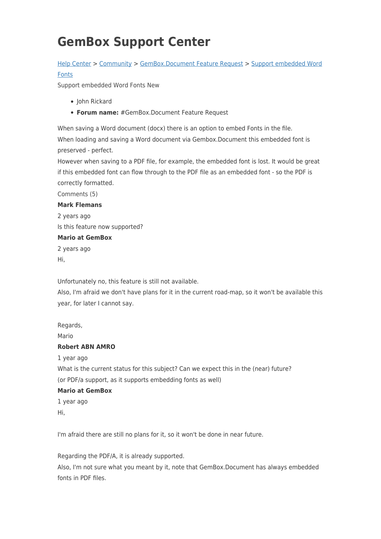# **GemBox Support Center**

## [Help Center](https://support.gemboxsoftware.com/) > [Community](https://support.gemboxsoftware.com/community) > [GemBox.Document Feature Request](https://support.gemboxsoftware.com/community/browse/type-2/view-list/viewmode-compact) > [Support embedded Word](https://support.gemboxsoftware.com/community/view/support-embedded-word-fonts) [Fonts](https://support.gemboxsoftware.com/community/view/support-embedded-word-fonts)

Support embedded Word Fonts New

- John Rickard
- **Forum name:** #GemBox.Document Feature Request

When saving a Word document (docx) there is an option to embed Fonts in the file. When loading and saving a Word document via Gembox.Document this embedded font is preserved - perfect.

However when saving to a PDF file, for example, the embedded font is lost. It would be great if this embedded font can flow through to the PDF file as an embedded font - so the PDF is correctly formatted.

Comments (5)

#### **Mark Flemans**

2 years ago Is this feature now supported?

#### **Mario at GemBox**

2 years ago Hi,

Unfortunately no, this feature is still not available.

Also, I'm afraid we don't have plans for it in the current road-map, so it won't be available this year, for later I cannot say.

Regards, Mario **Robert ABN AMRO** 1 year ago What is the current status for this subject? Can we expect this in the (near) future? (or PDF/a support, as it supports embedding fonts as well) **Mario at GemBox**

# 1 year ago

Hi,

I'm afraid there are still no plans for it, so it won't be done in near future.

Regarding the PDF/A, it is already supported.

Also, I'm not sure what you meant by it, note that GemBox.Document has always embedded fonts in PDF files.